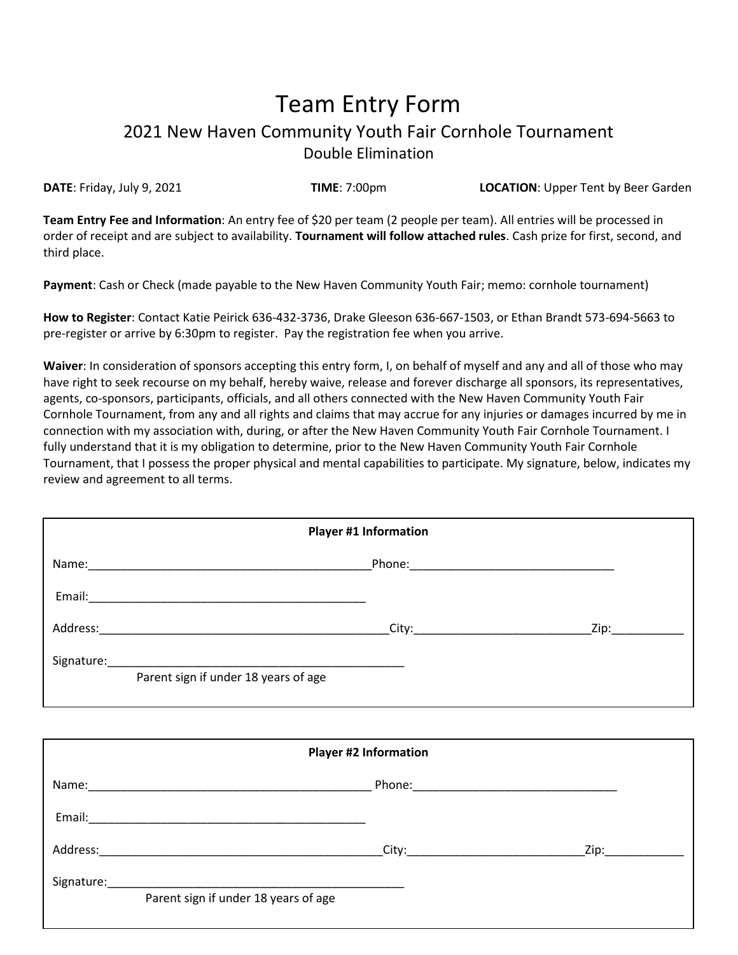## Team Entry Form 2021 New Haven Community Youth Fair Cornhole Tournament Double Elimination

**DATE**: Friday, July 9, 2021 **TIME**: 7:00pm **LOCATION**: Upper Tent by Beer Garden

**Team Entry Fee and Information**: An entry fee of \$20 per team (2 people per team). All entries will be processed in order of receipt and are subject to availability. **Tournament will follow attached rules**. Cash prize for first, second, and third place.

**Payment**: Cash or Check (made payable to the New Haven Community Youth Fair; memo: cornhole tournament)

**How to Register**: Contact Katie Peirick 636-432-3736, Drake Gleeson 636-667-1503, or Ethan Brandt 573-694-5663 to pre-register or arrive by 6:30pm to register. Pay the registration fee when you arrive.

**Waiver**: In consideration of sponsors accepting this entry form, I, on behalf of myself and any and all of those who may have right to seek recourse on my behalf, hereby waive, release and forever discharge all sponsors, its representatives, agents, co-sponsors, participants, officials, and all others connected with the New Haven Community Youth Fair Cornhole Tournament, from any and all rights and claims that may accrue for any injuries or damages incurred by me in connection with my association with, during, or after the New Haven Community Youth Fair Cornhole Tournament. I fully understand that it is my obligation to determine, prior to the New Haven Community Youth Fair Cornhole Tournament, that I possess the proper physical and mental capabilities to participate. My signature, below, indicates my review and agreement to all terms.

| <b>Player #1 Information</b>                                                           |                                                                                                               |      |  |  |
|----------------------------------------------------------------------------------------|---------------------------------------------------------------------------------------------------------------|------|--|--|
| Name:                                                                                  | Phone: 2008 2010 2010 2021 2022 2023 2024 2022 2022 2022 2022 2023 2024 2022 2023 2024 2022 2023 2024 2022 20 |      |  |  |
|                                                                                        |                                                                                                               |      |  |  |
| Address:<br>the control of the control of the control of the control of the control of | City:__________________________                                                                               | Zip: |  |  |
| Parent sign if under 18 years of age                                                   |                                                                                                               |      |  |  |

| <b>Player #2 Information</b> |                                      |  |      |
|------------------------------|--------------------------------------|--|------|
|                              |                                      |  |      |
| Email:                       |                                      |  |      |
| Address:                     |                                      |  | Zip: |
| Signature:                   | Parent sign if under 18 years of age |  |      |